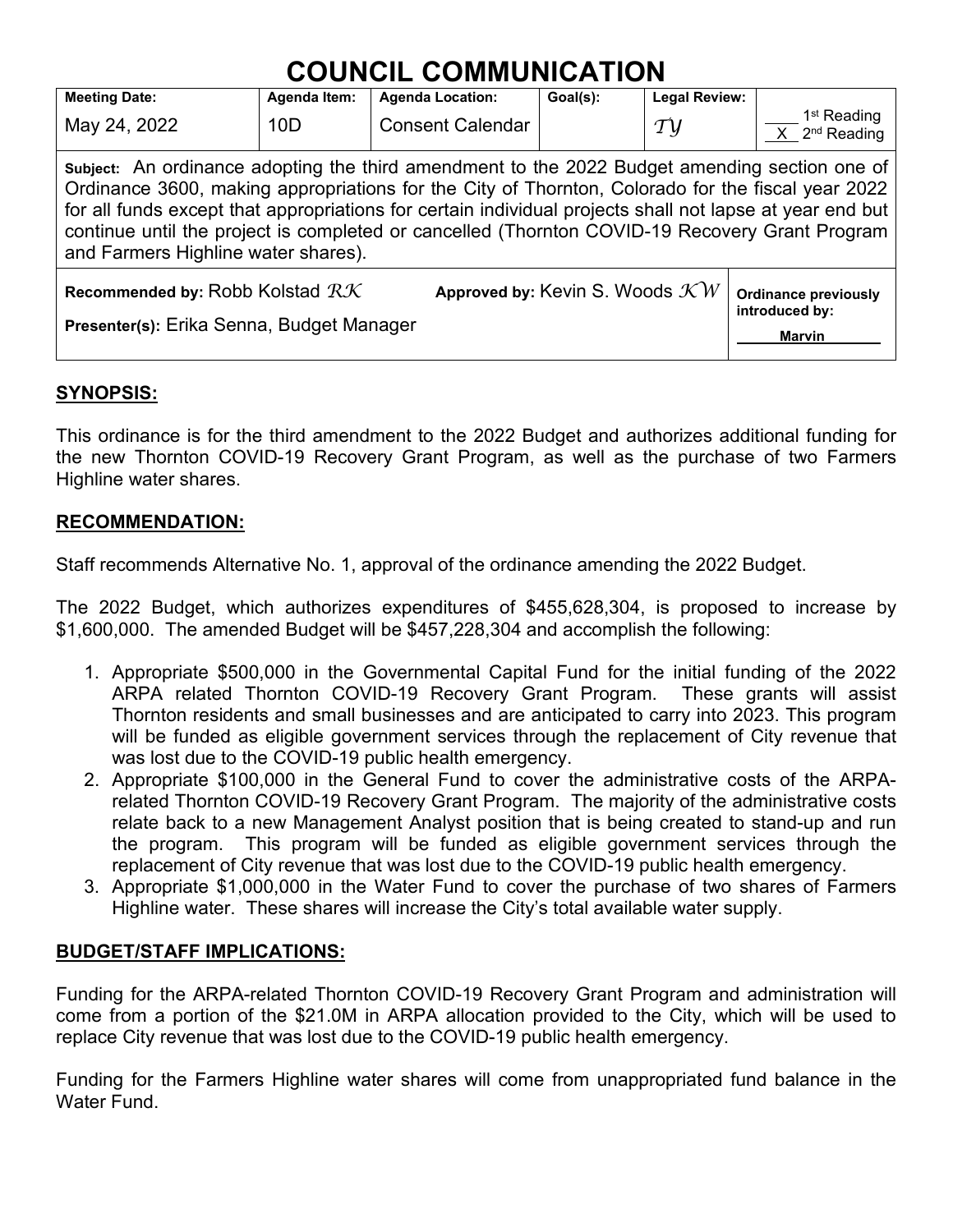# **COUNCIL COMMUNICATION**

| <b>Meeting Date:</b>                                                                                                                                                                                                                                                                                                                                                                                                                                    | Agenda Item: | <b>Agenda Location:</b>                    | Goal(s): | <b>Legal Review:</b> |                                                                |  |  |
|---------------------------------------------------------------------------------------------------------------------------------------------------------------------------------------------------------------------------------------------------------------------------------------------------------------------------------------------------------------------------------------------------------------------------------------------------------|--------------|--------------------------------------------|----------|----------------------|----------------------------------------------------------------|--|--|
| May 24, 2022                                                                                                                                                                                                                                                                                                                                                                                                                                            | 10D          | <b>Consent Calendar</b>                    |          | $\tau$ y             | 1 <sup>st</sup> Reading<br>$X$ 2 <sup>nd</sup> Reading         |  |  |
| Subject: An ordinance adopting the third amendment to the 2022 Budget amending section one of<br>Ordinance 3600, making appropriations for the City of Thornton, Colorado for the fiscal year 2022<br>for all funds except that appropriations for certain individual projects shall not lapse at year end but<br>continue until the project is completed or cancelled (Thornton COVID-19 Recovery Grant Program<br>and Farmers Highline water shares). |              |                                            |          |                      |                                                                |  |  |
| Recommended by: Robb Kolstad $RK$<br>Presenter(s): Erika Senna, Budget Manager                                                                                                                                                                                                                                                                                                                                                                          |              | Approved by: Kevin S. Woods $\mathcal{K}W$ |          |                      | <b>Ordinance previously</b><br>introduced by:<br><b>Marvin</b> |  |  |

## **SYNOPSIS:**

This ordinance is for the third amendment to the 2022 Budget and authorizes additional funding for the new Thornton COVID-19 Recovery Grant Program, as well as the purchase of two Farmers Highline water shares.

## **RECOMMENDATION:**

Staff recommends Alternative No. 1, approval of the ordinance amending the 2022 Budget.

The 2022 Budget, which authorizes expenditures of \$455,628,304, is proposed to increase by \$1,600,000. The amended Budget will be \$457,228,304 and accomplish the following:

- 1. Appropriate \$500,000 in the Governmental Capital Fund for the initial funding of the 2022 ARPA related Thornton COVID-19 Recovery Grant Program. These grants will assist Thornton residents and small businesses and are anticipated to carry into 2023. This program will be funded as eligible government services through the replacement of City revenue that was lost due to the COVID-19 public health emergency.
- 2. Appropriate \$100,000 in the General Fund to cover the administrative costs of the ARPArelated Thornton COVID-19 Recovery Grant Program. The majority of the administrative costs relate back to a new Management Analyst position that is being created to stand-up and run the program. This program will be funded as eligible government services through the replacement of City revenue that was lost due to the COVID-19 public health emergency.
- 3. Appropriate \$1,000,000 in the Water Fund to cover the purchase of two shares of Farmers Highline water. These shares will increase the City's total available water supply.

## **BUDGET/STAFF IMPLICATIONS:**

Funding for the ARPA-related Thornton COVID-19 Recovery Grant Program and administration will come from a portion of the \$21.0M in ARPA allocation provided to the City, which will be used to replace City revenue that was lost due to the COVID-19 public health emergency.

Funding for the Farmers Highline water shares will come from unappropriated fund balance in the Water Fund.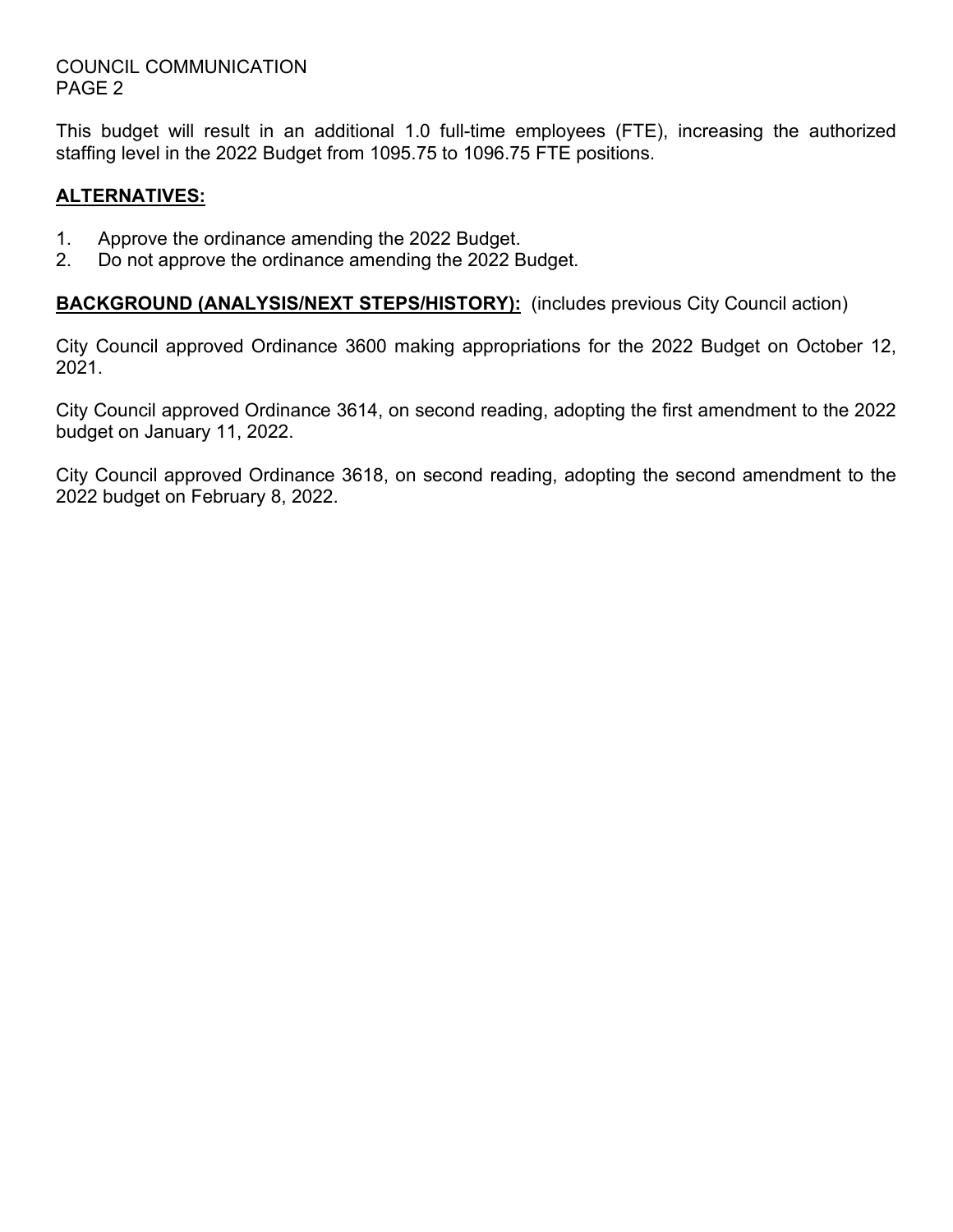#### COUNCIL COMMUNICATION PAGE 2

This budget will result in an additional 1.0 full-time employees (FTE), increasing the authorized staffing level in the 2022 Budget from 1095.75 to 1096.75 FTE positions.

### **ALTERNATIVES:**

- 1. Approve the ordinance amending the 2022 Budget.
- 2. Do not approve the ordinance amending the 2022 Budget.

**BACKGROUND (ANALYSIS/NEXT STEPS/HISTORY):** (includes previous City Council action)

City Council approved Ordinance 3600 making appropriations for the 2022 Budget on October 12, 2021.

City Council approved Ordinance 3614, on second reading, adopting the first amendment to the 2022 budget on January 11, 2022.

City Council approved Ordinance 3618, on second reading, adopting the second amendment to the 2022 budget on February 8, 2022.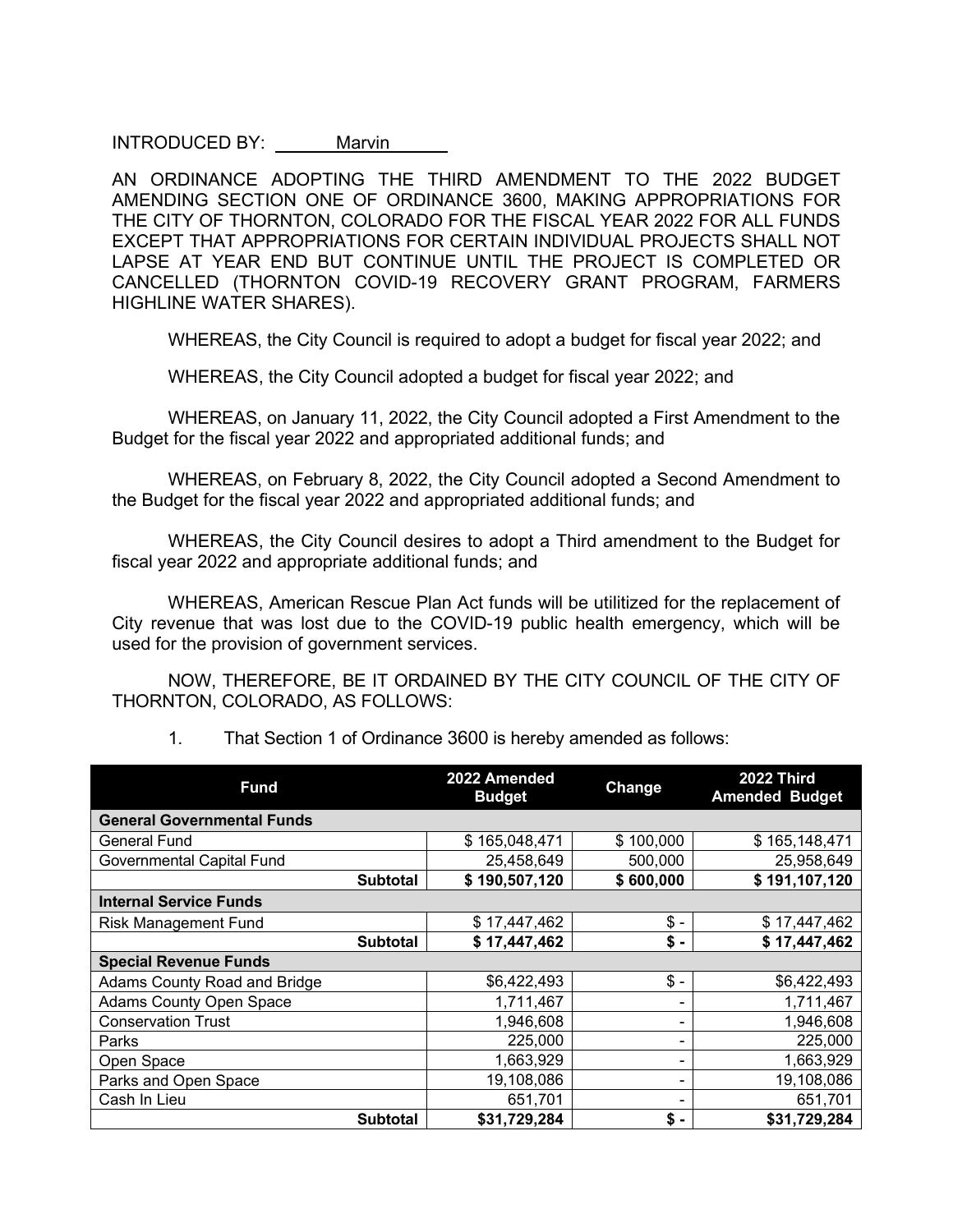INTRODUCED BY: Marvin

AN ORDINANCE ADOPTING THE THIRD AMENDMENT TO THE 2022 BUDGET AMENDING SECTION ONE OF ORDINANCE 3600, MAKING APPROPRIATIONS FOR THE CITY OF THORNTON, COLORADO FOR THE FISCAL YEAR 2022 FOR ALL FUNDS EXCEPT THAT APPROPRIATIONS FOR CERTAIN INDIVIDUAL PROJECTS SHALL NOT LAPSE AT YEAR END BUT CONTINUE UNTIL THE PROJECT IS COMPLETED OR CANCELLED (THORNTON COVID-19 RECOVERY GRANT PROGRAM, FARMERS HIGHLINE WATER SHARES).

WHEREAS, the City Council is required to adopt a budget for fiscal year 2022; and

WHEREAS, the City Council adopted a budget for fiscal year 2022; and

WHEREAS, on January 11, 2022, the City Council adopted a First Amendment to the Budget for the fiscal year 2022 and appropriated additional funds; and

WHEREAS, on February 8, 2022, the City Council adopted a Second Amendment to the Budget for the fiscal year 2022 and appropriated additional funds; and

WHEREAS, the City Council desires to adopt a Third amendment to the Budget for fiscal year 2022 and appropriate additional funds; and

WHEREAS, American Rescue Plan Act funds will be utilitized for the replacement of City revenue that was lost due to the COVID-19 public health emergency, which will be used for the provision of government services.

NOW, THEREFORE, BE IT ORDAINED BY THE CITY COUNCIL OF THE CITY OF THORNTON, COLORADO, AS FOLLOWS:

| <b>Fund</b>                       | 2022 Amended<br><b>Budget</b> | Change    | <b>2022 Third</b><br><b>Amended Budget</b> |  |  |
|-----------------------------------|-------------------------------|-----------|--------------------------------------------|--|--|
| <b>General Governmental Funds</b> |                               |           |                                            |  |  |
| General Fund                      | \$165,048,471                 | \$100,000 | \$165,148,471                              |  |  |
| Governmental Capital Fund         | 25,458,649                    | 500,000   | 25,958,649                                 |  |  |
| <b>Subtotal</b>                   | \$190,507,120                 | \$600,000 | \$191,107,120                              |  |  |
| <b>Internal Service Funds</b>     |                               |           |                                            |  |  |
| <b>Risk Management Fund</b>       | \$17,447,462                  | \$ -      | \$17,447,462                               |  |  |
| <b>Subtotal</b>                   | \$17,447,462                  | \$ -      | \$17,447,462                               |  |  |
| <b>Special Revenue Funds</b>      |                               |           |                                            |  |  |
| Adams County Road and Bridge      | \$6,422,493                   | $$ -$     | \$6,422,493                                |  |  |
| <b>Adams County Open Space</b>    | 1,711,467                     | ۰         | 1,711,467                                  |  |  |
| <b>Conservation Trust</b>         | 1,946,608                     | ۰         | 1,946,608                                  |  |  |
| Parks                             | 225,000                       | -         | 225,000                                    |  |  |
| Open Space                        | 1,663,929                     | ۰         | 1,663,929                                  |  |  |
| Parks and Open Space              | 19,108,086                    | -         | 19,108,086                                 |  |  |
| Cash In Lieu                      | 651,701                       | -         | 651,701                                    |  |  |
| <b>Subtotal</b>                   | \$31,729,284                  | \$ -      | \$31,729,284                               |  |  |

1. That Section 1 of Ordinance 3600 is hereby amended as follows: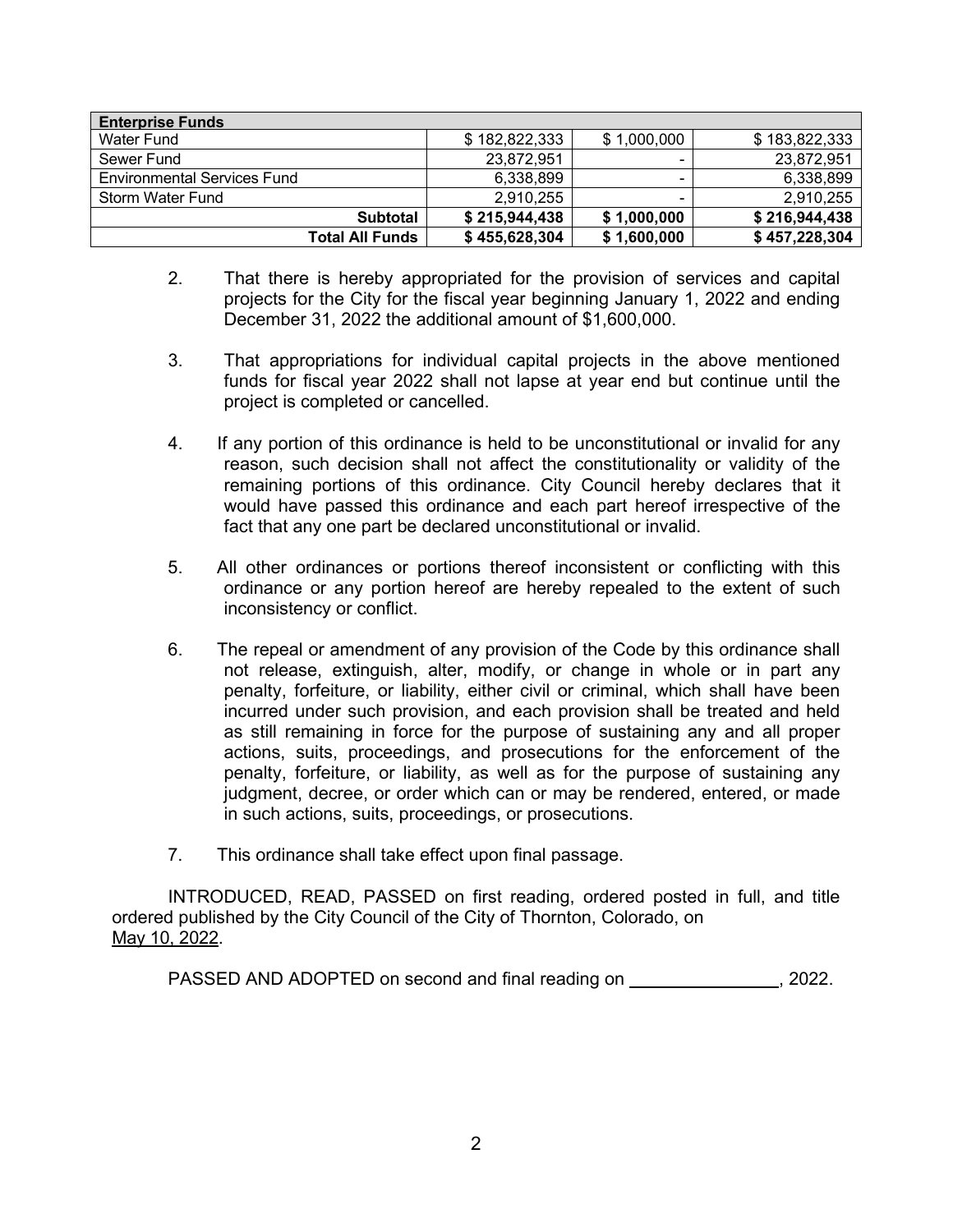| <b>Enterprise Funds</b>            |               |             |               |  |  |
|------------------------------------|---------------|-------------|---------------|--|--|
| Water Fund                         | \$182,822,333 | \$1,000,000 | \$183,822,333 |  |  |
| Sewer Fund                         | 23,872,951    | -           | 23,872,951    |  |  |
| <b>Environmental Services Fund</b> | 6,338,899     |             | 6,338,899     |  |  |
| <b>Storm Water Fund</b>            | 2,910,255     | ۰           | 2,910,255     |  |  |
| <b>Subtotal</b>                    | \$215,944,438 | \$1,000,000 | \$216,944,438 |  |  |
| Total All Funds                    | \$455,628,304 | \$1,600,000 | \$457,228,304 |  |  |

- 2. That there is hereby appropriated for the provision of services and capital projects for the City for the fiscal year beginning January 1, 2022 and ending December 31, 2022 the additional amount of \$1,600,000.
- 3. That appropriations for individual capital projects in the above mentioned funds for fiscal year 2022 shall not lapse at year end but continue until the project is completed or cancelled.
- 4. If any portion of this ordinance is held to be unconstitutional or invalid for any reason, such decision shall not affect the constitutionality or validity of the remaining portions of this ordinance. City Council hereby declares that it would have passed this ordinance and each part hereof irrespective of the fact that any one part be declared unconstitutional or invalid.
- 5. All other ordinances or portions thereof inconsistent or conflicting with this ordinance or any portion hereof are hereby repealed to the extent of such inconsistency or conflict.
- 6. The repeal or amendment of any provision of the Code by this ordinance shall not release, extinguish, alter, modify, or change in whole or in part any penalty, forfeiture, or liability, either civil or criminal, which shall have been incurred under such provision, and each provision shall be treated and held as still remaining in force for the purpose of sustaining any and all proper actions, suits, proceedings, and prosecutions for the enforcement of the penalty, forfeiture, or liability, as well as for the purpose of sustaining any judgment, decree, or order which can or may be rendered, entered, or made in such actions, suits, proceedings, or prosecutions.
- 7. This ordinance shall take effect upon final passage.

INTRODUCED, READ, PASSED on first reading, ordered posted in full, and title ordered published by the City Council of the City of Thornton, Colorado, on May 10, 2022.

PASSED AND ADOPTED on second and final reading on  $\sim$ , 2022.